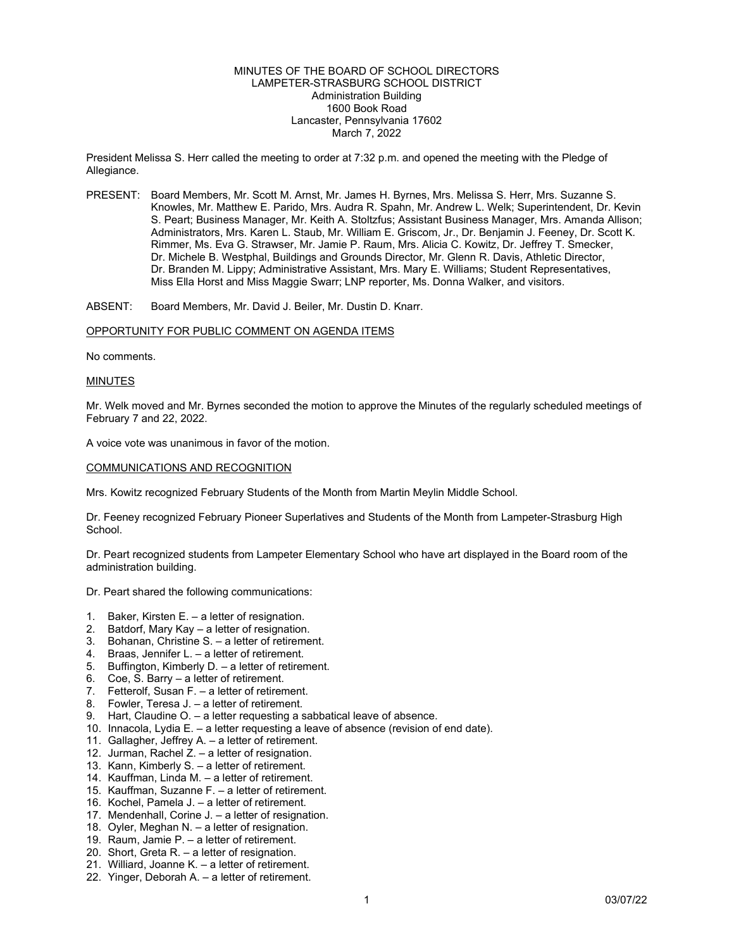# MINUTES OF THE BOARD OF SCHOOL DIRECTORS LAMPETER-STRASBURG SCHOOL DISTRICT Administration Building 1600 Book Road Lancaster, Pennsylvania 17602 March 7, 2022

President Melissa S. Herr called the meeting to order at 7:32 p.m. and opened the meeting with the Pledge of Allegiance.

PRESENT: Board Members, Mr. Scott M. Arnst, Mr. James H. Byrnes, Mrs. Melissa S. Herr, Mrs. Suzanne S. Knowles, Mr. Matthew E. Parido, Mrs. Audra R. Spahn, Mr. Andrew L. Welk; Superintendent, Dr. Kevin S. Peart; Business Manager, Mr. Keith A. Stoltzfus; Assistant Business Manager, Mrs. Amanda Allison; Administrators, Mrs. Karen L. Staub, Mr. William E. Griscom, Jr., Dr. Benjamin J. Feeney, Dr. Scott K. Rimmer, Ms. Eva G. Strawser, Mr. Jamie P. Raum, Mrs. Alicia C. Kowitz, Dr. Jeffrey T. Smecker, Dr. Michele B. Westphal, Buildings and Grounds Director, Mr. Glenn R. Davis, Athletic Director, Dr. Branden M. Lippy; Administrative Assistant, Mrs. Mary E. Williams; Student Representatives, Miss Ella Horst and Miss Maggie Swarr; LNP reporter, Ms. Donna Walker, and visitors.

ABSENT: Board Members, Mr. David J. Beiler, Mr. Dustin D. Knarr.

## OPPORTUNITY FOR PUBLIC COMMENT ON AGENDA ITEMS

No comments.

### MINUTES

Mr. Welk moved and Mr. Byrnes seconded the motion to approve the Minutes of the regularly scheduled meetings of February 7 and 22, 2022.

A voice vote was unanimous in favor of the motion.

# COMMUNICATIONS AND RECOGNITION

Mrs. Kowitz recognized February Students of the Month from Martin Meylin Middle School.

Dr. Feeney recognized February Pioneer Superlatives and Students of the Month from Lampeter-Strasburg High School.

Dr. Peart recognized students from Lampeter Elementary School who have art displayed in the Board room of the administration building.

Dr. Peart shared the following communications:

- 1. Baker, Kirsten E. a letter of resignation.
- 2. Batdorf, Mary Kay a letter of resignation.
- 3. Bohanan, Christine S. a letter of retirement.
- 4. Braas, Jennifer L. a letter of retirement.
- 5. Buffington, Kimberly D. a letter of retirement.
- 6. Coe, S. Barry a letter of retirement.
- 7. Fetterolf, Susan F. a letter of retirement.
- 8. Fowler, Teresa J. a letter of retirement.
- 9. Hart, Claudine O. a letter requesting a sabbatical leave of absence.
- 10. Innacola, Lydia E. a letter requesting a leave of absence (revision of end date).
- 11. Gallagher, Jeffrey A. a letter of retirement.
- 12. Jurman, Rachel Z. a letter of resignation.
- 13. Kann, Kimberly S. a letter of retirement.
- 14. Kauffman, Linda M. a letter of retirement.
- 15. Kauffman, Suzanne F. a letter of retirement.
- 16. Kochel, Pamela J. a letter of retirement.
- 17. Mendenhall, Corine J. a letter of resignation.
- 18. Oyler, Meghan N. a letter of resignation.
- 19. Raum, Jamie P. a letter of retirement.
- 20. Short, Greta R. a letter of resignation.
- 21. Williard, Joanne K. a letter of retirement.
- 22. Yinger, Deborah A. a letter of retirement.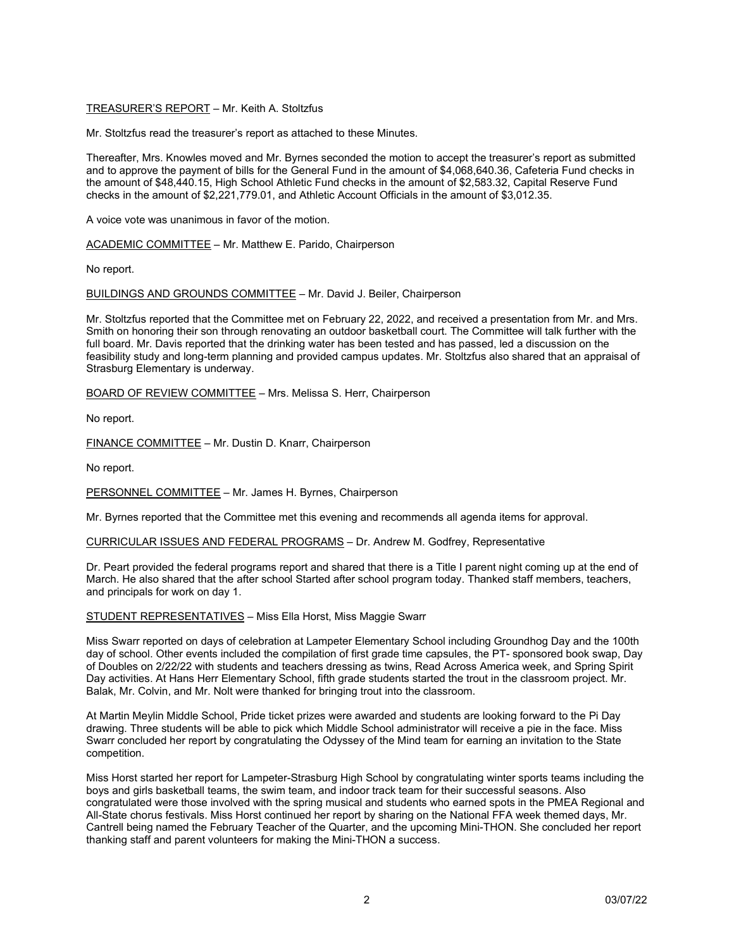# TREASURER'S REPORT – Mr. Keith A. Stoltzfus

Mr. Stoltzfus read the treasurer's report as attached to these Minutes.

Thereafter, Mrs. Knowles moved and Mr. Byrnes seconded the motion to accept the treasurer's report as submitted and to approve the payment of bills for the General Fund in the amount of \$4,068,640.36, Cafeteria Fund checks in the amount of \$48,440.15, High School Athletic Fund checks in the amount of \$2,583.32, Capital Reserve Fund checks in the amount of \$2,221,779.01, and Athletic Account Officials in the amount of \$3,012.35.

A voice vote was unanimous in favor of the motion.

ACADEMIC COMMITTEE – Mr. Matthew E. Parido, Chairperson

No report.

BUILDINGS AND GROUNDS COMMITTEE – Mr. David J. Beiler, Chairperson

Mr. Stoltzfus reported that the Committee met on February 22, 2022, and received a presentation from Mr. and Mrs. Smith on honoring their son through renovating an outdoor basketball court. The Committee will talk further with the full board. Mr. Davis reported that the drinking water has been tested and has passed, led a discussion on the feasibility study and long-term planning and provided campus updates. Mr. Stoltzfus also shared that an appraisal of Strasburg Elementary is underway.

BOARD OF REVIEW COMMITTEE – Mrs. Melissa S. Herr, Chairperson

No report.

FINANCE COMMITTEE – Mr. Dustin D. Knarr, Chairperson

No report.

PERSONNEL COMMITTEE – Mr. James H. Byrnes, Chairperson

Mr. Byrnes reported that the Committee met this evening and recommends all agenda items for approval.

CURRICULAR ISSUES AND FEDERAL PROGRAMS – Dr. Andrew M. Godfrey, Representative

Dr. Peart provided the federal programs report and shared that there is a Title I parent night coming up at the end of March. He also shared that the after school Started after school program today. Thanked staff members, teachers, and principals for work on day 1.

STUDENT REPRESENTATIVES – Miss Ella Horst, Miss Maggie Swarr

Miss Swarr reported on days of celebration at Lampeter Elementary School including Groundhog Day and the 100th day of school. Other events included the compilation of first grade time capsules, the PT- sponsored book swap, Day of Doubles on 2/22/22 with students and teachers dressing as twins, Read Across America week, and Spring Spirit Day activities. At Hans Herr Elementary School, fifth grade students started the trout in the classroom project. Mr. Balak, Mr. Colvin, and Mr. Nolt were thanked for bringing trout into the classroom.

At Martin Meylin Middle School, Pride ticket prizes were awarded and students are looking forward to the Pi Day drawing. Three students will be able to pick which Middle School administrator will receive a pie in the face. Miss Swarr concluded her report by congratulating the Odyssey of the Mind team for earning an invitation to the State competition.

Miss Horst started her report for Lampeter-Strasburg High School by congratulating winter sports teams including the boys and girls basketball teams, the swim team, and indoor track team for their successful seasons. Also congratulated were those involved with the spring musical and students who earned spots in the PMEA Regional and All-State chorus festivals. Miss Horst continued her report by sharing on the National FFA week themed days, Mr. Cantrell being named the February Teacher of the Quarter, and the upcoming Mini-THON. She concluded her report thanking staff and parent volunteers for making the Mini-THON a success.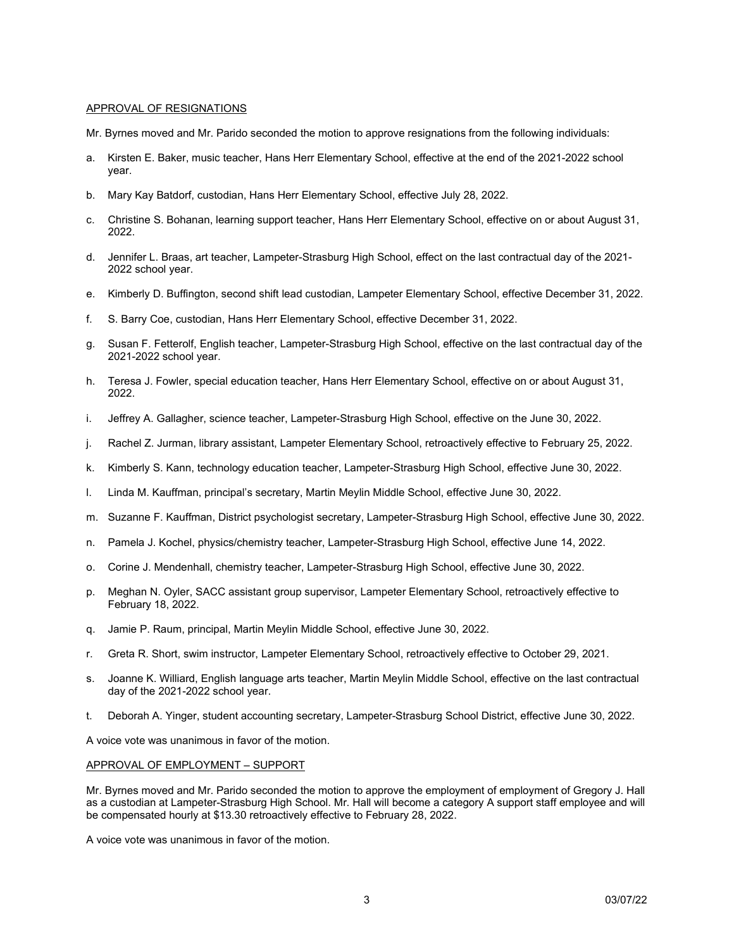# APPROVAL OF RESIGNATIONS

- Mr. Byrnes moved and Mr. Parido seconded the motion to approve resignations from the following individuals:
- a. Kirsten E. Baker, music teacher, Hans Herr Elementary School, effective at the end of the 2021-2022 school year.
- b. Mary Kay Batdorf, custodian, Hans Herr Elementary School, effective July 28, 2022.
- c. Christine S. Bohanan, learning support teacher, Hans Herr Elementary School, effective on or about August 31, 2022.
- d. Jennifer L. Braas, art teacher, Lampeter-Strasburg High School, effect on the last contractual day of the 2021- 2022 school year.
- e. Kimberly D. Buffington, second shift lead custodian, Lampeter Elementary School, effective December 31, 2022.
- f. S. Barry Coe, custodian, Hans Herr Elementary School, effective December 31, 2022.
- g. Susan F. Fetterolf, English teacher, Lampeter-Strasburg High School, effective on the last contractual day of the 2021-2022 school year.
- h. Teresa J. Fowler, special education teacher, Hans Herr Elementary School, effective on or about August 31, 2022.
- i. Jeffrey A. Gallagher, science teacher, Lampeter-Strasburg High School, effective on the June 30, 2022.
- j. Rachel Z. Jurman, library assistant, Lampeter Elementary School, retroactively effective to February 25, 2022.
- k. Kimberly S. Kann, technology education teacher, Lampeter-Strasburg High School, effective June 30, 2022.
- l. Linda M. Kauffman, principal's secretary, Martin Meylin Middle School, effective June 30, 2022.
- m. Suzanne F. Kauffman, District psychologist secretary, Lampeter-Strasburg High School, effective June 30, 2022.
- n. Pamela J. Kochel, physics/chemistry teacher, Lampeter-Strasburg High School, effective June 14, 2022.
- o. Corine J. Mendenhall, chemistry teacher, Lampeter-Strasburg High School, effective June 30, 2022.
- p. Meghan N. Oyler, SACC assistant group supervisor, Lampeter Elementary School, retroactively effective to February 18, 2022.
- q. Jamie P. Raum, principal, Martin Meylin Middle School, effective June 30, 2022.
- r. Greta R. Short, swim instructor, Lampeter Elementary School, retroactively effective to October 29, 2021.
- s. Joanne K. Williard, English language arts teacher, Martin Meylin Middle School, effective on the last contractual day of the 2021-2022 school year.
- t. Deborah A. Yinger, student accounting secretary, Lampeter-Strasburg School District, effective June 30, 2022.

A voice vote was unanimous in favor of the motion.

## APPROVAL OF EMPLOYMENT – SUPPORT

Mr. Byrnes moved and Mr. Parido seconded the motion to approve the employment of employment of Gregory J. Hall as a custodian at Lampeter-Strasburg High School. Mr. Hall will become a category A support staff employee and will be compensated hourly at \$13.30 retroactively effective to February 28, 2022.

A voice vote was unanimous in favor of the motion.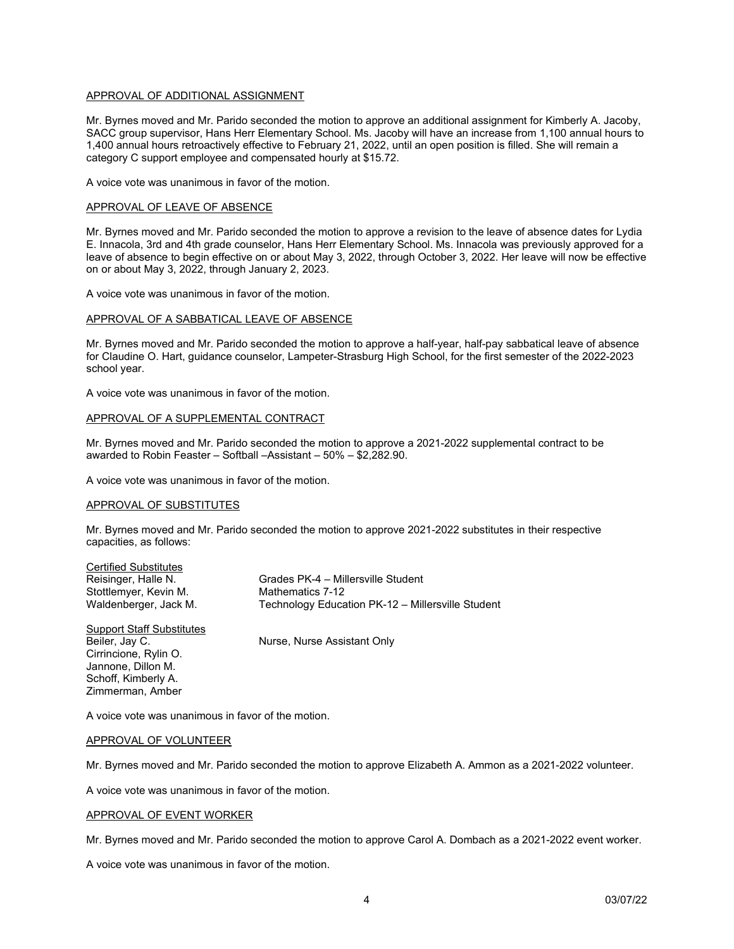# APPROVAL OF ADDITIONAL ASSIGNMENT

Mr. Byrnes moved and Mr. Parido seconded the motion to approve an additional assignment for Kimberly A. Jacoby, SACC group supervisor, Hans Herr Elementary School. Ms. Jacoby will have an increase from 1,100 annual hours to 1,400 annual hours retroactively effective to February 21, 2022, until an open position is filled. She will remain a category C support employee and compensated hourly at \$15.72.

A voice vote was unanimous in favor of the motion.

### APPROVAL OF LEAVE OF ABSENCE

Mr. Byrnes moved and Mr. Parido seconded the motion to approve a revision to the leave of absence dates for Lydia E. Innacola, 3rd and 4th grade counselor, Hans Herr Elementary School. Ms. Innacola was previously approved for a leave of absence to begin effective on or about May 3, 2022, through October 3, 2022. Her leave will now be effective on or about May 3, 2022, through January 2, 2023.

A voice vote was unanimous in favor of the motion.

### APPROVAL OF A SABBATICAL LEAVE OF ABSENCE

Mr. Byrnes moved and Mr. Parido seconded the motion to approve a half-year, half-pay sabbatical leave of absence for Claudine O. Hart, guidance counselor, Lampeter-Strasburg High School, for the first semester of the 2022-2023 school year.

A voice vote was unanimous in favor of the motion.

## APPROVAL OF A SUPPLEMENTAL CONTRACT

Mr. Byrnes moved and Mr. Parido seconded the motion to approve a 2021-2022 supplemental contract to be awarded to Robin Feaster – Softball –Assistant – 50% – \$2,282.90.

A voice vote was unanimous in favor of the motion.

## APPROVAL OF SUBSTITUTES

Mr. Byrnes moved and Mr. Parido seconded the motion to approve 2021-2022 substitutes in their respective capacities, as follows:

| <b>Certified Substitutes</b>     |                                                   |
|----------------------------------|---------------------------------------------------|
| Reisinger, Halle N.              | Grades PK-4 - Millersville Student                |
| Stottlemyer, Kevin M.            | Mathematics 7-12                                  |
| Waldenberger, Jack M.            | Technology Education PK-12 - Millersville Student |
| <b>Support Staff Substitutes</b> |                                                   |
| Beiler, Jay C.                   | Nurse, Nurse Assistant Only                       |
| Cirrincione, Rylin O.            |                                                   |
| Jannone, Dillon M.               |                                                   |

A voice vote was unanimous in favor of the motion.

### APPROVAL OF VOLUNTEER

Schoff, Kimberly A. Zimmerman, Amber

Mr. Byrnes moved and Mr. Parido seconded the motion to approve Elizabeth A. Ammon as a 2021-2022 volunteer.

A voice vote was unanimous in favor of the motion.

#### APPROVAL OF EVENT WORKER

Mr. Byrnes moved and Mr. Parido seconded the motion to approve Carol A. Dombach as a 2021-2022 event worker.

A voice vote was unanimous in favor of the motion.